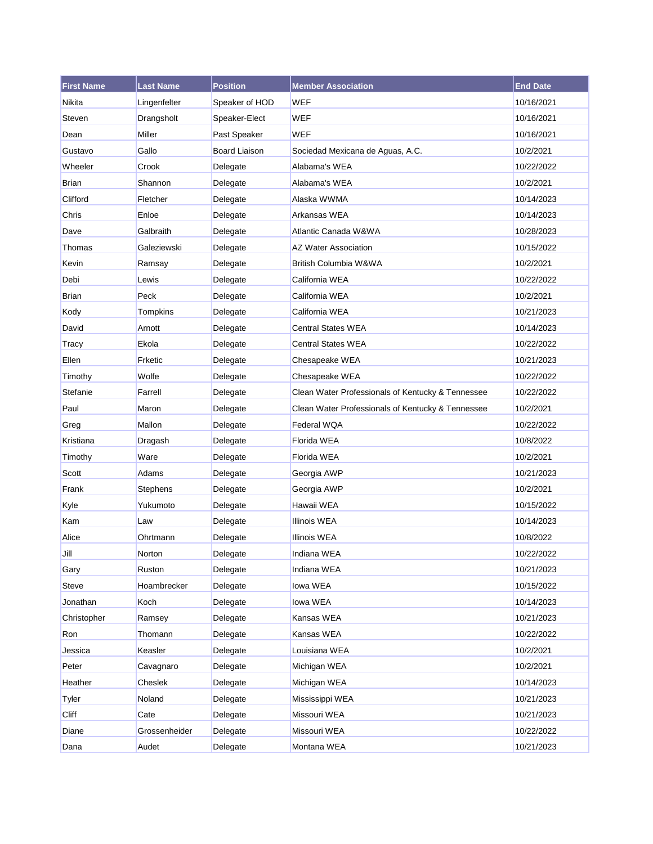| <b>First Name</b> | <b>Last Name</b> | <b>Position</b>      | <b>Member Association</b>                         | <b>End Date</b> |
|-------------------|------------------|----------------------|---------------------------------------------------|-----------------|
| Nikita            | Lingenfelter     | Speaker of HOD       | WEF                                               | 10/16/2021      |
| Steven            | Drangsholt       | Speaker-Elect        | <b>WEF</b>                                        | 10/16/2021      |
| Dean              | <b>Miller</b>    | Past Speaker         | <b>WEF</b>                                        | 10/16/2021      |
| Gustavo           | Gallo            | <b>Board Liaison</b> | Sociedad Mexicana de Aguas, A.C.                  | 10/2/2021       |
| Wheeler           | Crook            | Delegate             | Alabama's WEA                                     | 10/22/2022      |
| Brian             | Shannon          | Delegate             | Alabama's WEA                                     | 10/2/2021       |
| Clifford          | Fletcher         | Delegate             | Alaska WWMA                                       | 10/14/2023      |
| Chris             | Enloe            | Delegate             | Arkansas WEA                                      | 10/14/2023      |
| Dave              | Galbraith        | Delegate             | Atlantic Canada W&WA                              | 10/28/2023      |
| Thomas            | Galeziewski      | Delegate             | <b>AZ Water Association</b>                       | 10/15/2022      |
| Kevin             | Ramsay           | Delegate             | British Columbia W&WA                             | 10/2/2021       |
| Debi              | Lewis            | Delegate             | California WEA                                    | 10/22/2022      |
| <b>Brian</b>      | Peck             | Delegate             | California WEA                                    | 10/2/2021       |
| Kody              | Tompkins         | Delegate             | California WEA                                    | 10/21/2023      |
| David             | Arnott           | Delegate             | <b>Central States WEA</b>                         | 10/14/2023      |
| Tracy             | Ekola            | Delegate             | <b>Central States WEA</b>                         | 10/22/2022      |
| Ellen             | Frketic          | Delegate             | Chesapeake WEA                                    | 10/21/2023      |
| Timothy           | Wolfe            | Delegate             | Chesapeake WEA                                    | 10/22/2022      |
| Stefanie          | Farrell          | Delegate             | Clean Water Professionals of Kentucky & Tennessee | 10/22/2022      |
| Paul              | Maron            | Delegate             | Clean Water Professionals of Kentucky & Tennessee | 10/2/2021       |
| Greg              | Mallon           | Delegate             | Federal WQA                                       | 10/22/2022      |
| Kristiana         | Dragash          | Delegate             | Florida WEA                                       | 10/8/2022       |
| Timothy           | Ware             | Delegate             | Florida WEA                                       | 10/2/2021       |
| Scott             | Adams            | Delegate             | Georgia AWP                                       | 10/21/2023      |
| Frank             | Stephens         | Delegate             | Georgia AWP                                       | 10/2/2021       |
| Kyle              | Yukumoto         | Delegate             | Hawaii WEA                                        | 10/15/2022      |
| Kam               | Law              | Delegate             | <b>Illinois WEA</b>                               | 10/14/2023      |
| Alice             | Ohrtmann         | Delegate             | <b>Illinois WEA</b>                               | 10/8/2022       |
| Jill              | Norton           | Delegate             | Indiana WEA                                       | 10/22/2022      |
| Gary              | Ruston           | Delegate             | Indiana WEA                                       | 10/21/2023      |
| Steve             | Hoambrecker      | Delegate             | lowa WEA                                          | 10/15/2022      |
| Jonathan          | Koch             | Delegate             | lowa WEA                                          | 10/14/2023      |
| Christopher       | Ramsey           | Delegate             | Kansas WEA                                        | 10/21/2023      |
| Ron               | Thomann          | Delegate             | Kansas WEA                                        | 10/22/2022      |
| Jessica           | Keasler          | Delegate             | Louisiana WEA                                     | 10/2/2021       |
| Peter             | Cavagnaro        | Delegate             | Michigan WEA                                      | 10/2/2021       |
| Heather           | Cheslek          | Delegate             | Michigan WEA                                      | 10/14/2023      |
| Tyler             | Noland           | Delegate             | Mississippi WEA                                   | 10/21/2023      |
| Cliff             | Cate             | Delegate             | Missouri WEA                                      | 10/21/2023      |
| Diane             | Grossenheider    | Delegate             | Missouri WEA                                      | 10/22/2022      |
| Dana              | Audet            | Delegate             | Montana WEA                                       | 10/21/2023      |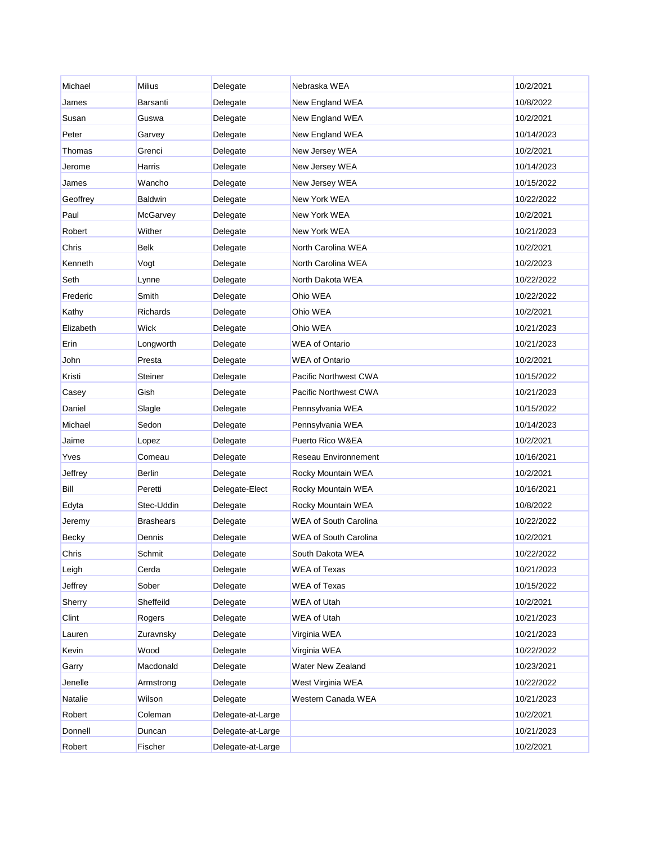| Michael   | <b>Milius</b>    | Delegate          | Nebraska WEA                 | 10/2/2021  |
|-----------|------------------|-------------------|------------------------------|------------|
| James     | Barsanti         | Delegate          | New England WEA              | 10/8/2022  |
| Susan     | Guswa            | Delegate          | New England WEA              | 10/2/2021  |
| Peter     | Garvey           | Delegate          | New England WEA              | 10/14/2023 |
| Thomas    | Grenci           | Delegate          | New Jersey WEA               | 10/2/2021  |
| Jerome    | Harris           | Delegate          | New Jersey WEA               | 10/14/2023 |
| James     | Wancho           | Delegate          | New Jersey WEA               | 10/15/2022 |
| Geoffrey  | <b>Baldwin</b>   | Delegate          | New York WEA                 | 10/22/2022 |
| Paul      | <b>McGarvey</b>  | Delegate          | New York WEA                 | 10/2/2021  |
| Robert    | Wither           | Delegate          | New York WEA                 | 10/21/2023 |
| Chris     | <b>Belk</b>      | Delegate          | North Carolina WEA           | 10/2/2021  |
| Kenneth   | Vogt             | Delegate          | North Carolina WEA           | 10/2/2023  |
| Seth      | Lynne            | Delegate          | North Dakota WEA             | 10/22/2022 |
| Frederic  | Smith            | Delegate          | Ohio WEA                     | 10/22/2022 |
| Kathy     | Richards         | Delegate          | Ohio WEA                     | 10/2/2021  |
| Elizabeth | Wick             | Delegate          | Ohio WEA                     | 10/21/2023 |
| Erin      | Longworth        | Delegate          | <b>WEA of Ontario</b>        | 10/21/2023 |
| John      | Presta           | Delegate          | <b>WEA of Ontario</b>        | 10/2/2021  |
| Kristi    | <b>Steiner</b>   | Delegate          | Pacific Northwest CWA        | 10/15/2022 |
| Casey     | Gish             | Delegate          | Pacific Northwest CWA        | 10/21/2023 |
| Daniel    | Slagle           | Delegate          | Pennsylvania WEA             | 10/15/2022 |
| Michael   | Sedon            | Delegate          | Pennsylvania WEA             | 10/14/2023 |
| Jaime     | Lopez            | Delegate          | Puerto Rico W&EA             | 10/2/2021  |
| Yves      | Comeau           | Delegate          | Reseau Environnement         | 10/16/2021 |
| Jeffrey   | <b>Berlin</b>    | Delegate          | Rocky Mountain WEA           | 10/2/2021  |
| Bill      | Peretti          | Delegate-Elect    | Rocky Mountain WEA           | 10/16/2021 |
| Edyta     | Stec-Uddin       | Delegate          | Rocky Mountain WEA           | 10/8/2022  |
| Jeremy    | <b>Brashears</b> | Delegate          | <b>WEA of South Carolina</b> | 10/22/2022 |
| Becky     | Dennis           | Delegate          | <b>WEA of South Carolina</b> | 10/2/2021  |
| Chris     | Schmit           | Delegate          | South Dakota WEA             | 10/22/2022 |
| Leigh     | Cerda            | Delegate          | WEA of Texas                 | 10/21/2023 |
| Jeffrey   | Sober            | Delegate          | <b>WEA of Texas</b>          | 10/15/2022 |
| Sherry    | Sheffeild        | Delegate          | WEA of Utah                  | 10/2/2021  |
| Clint     | Rogers           | Delegate          | <b>WEA of Utah</b>           | 10/21/2023 |
| Lauren    | Zuravnsky        | Delegate          | Virginia WEA                 | 10/21/2023 |
| Kevin     | Wood             | Delegate          | Virginia WEA                 | 10/22/2022 |
| Garry     | Macdonald        | Delegate          | Water New Zealand            | 10/23/2021 |
| Jenelle   | Armstrong        | Delegate          | West Virginia WEA            | 10/22/2022 |
| Natalie   | Wilson           | Delegate          | Western Canada WEA           | 10/21/2023 |
| Robert    | Coleman          | Delegate-at-Large |                              | 10/2/2021  |
| Donnell   | Duncan           | Delegate-at-Large |                              | 10/21/2023 |
| Robert    | Fischer          | Delegate-at-Large |                              | 10/2/2021  |